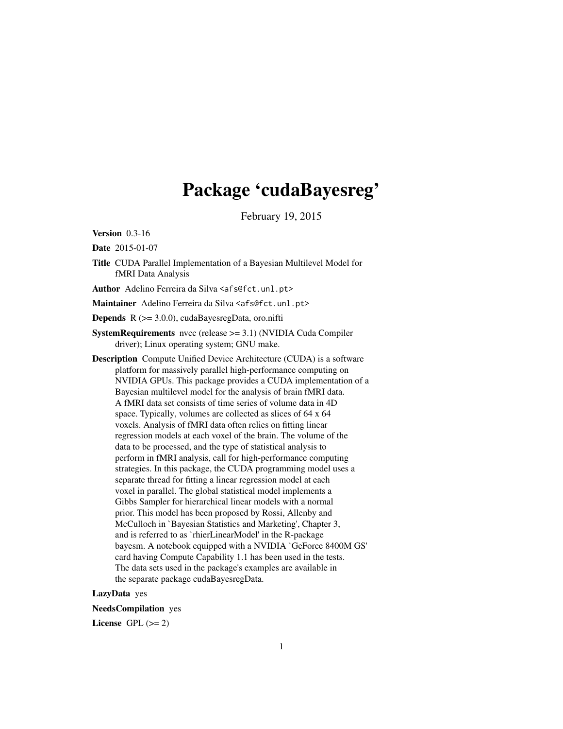# Package 'cudaBayesreg'

February 19, 2015

Version 0.3-16

Date 2015-01-07

Title CUDA Parallel Implementation of a Bayesian Multilevel Model for fMRI Data Analysis

Author Adelino Ferreira da Silva <afs@fct.unl.pt>

Maintainer Adelino Ferreira da Silva <afs@fct.unl.pt>

Depends R (>= 3.0.0), cudaBayesregData, oro.nifti

- SystemRequirements nvcc (release >= 3.1) (NVIDIA Cuda Compiler driver); Linux operating system; GNU make.
- Description Compute Unified Device Architecture (CUDA) is a software platform for massively parallel high-performance computing on NVIDIA GPUs. This package provides a CUDA implementation of a Bayesian multilevel model for the analysis of brain fMRI data. A fMRI data set consists of time series of volume data in 4D space. Typically, volumes are collected as slices of 64 x 64 voxels. Analysis of fMRI data often relies on fitting linear regression models at each voxel of the brain. The volume of the data to be processed, and the type of statistical analysis to perform in fMRI analysis, call for high-performance computing strategies. In this package, the CUDA programming model uses a separate thread for fitting a linear regression model at each voxel in parallel. The global statistical model implements a Gibbs Sampler for hierarchical linear models with a normal prior. This model has been proposed by Rossi, Allenby and McCulloch in `Bayesian Statistics and Marketing', Chapter 3, and is referred to as `rhierLinearModel' in the R-package bayesm. A notebook equipped with a NVIDIA `GeForce 8400M GS' card having Compute Capability 1.1 has been used in the tests. The data sets used in the package's examples are available in the separate package cudaBayesregData.

# LazyData yes

NeedsCompilation yes

License GPL  $(>= 2)$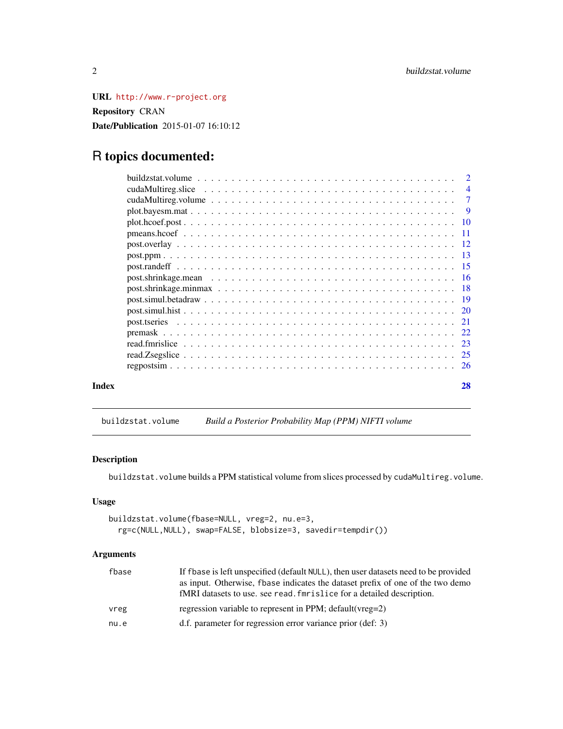<span id="page-1-0"></span>URL <http://www.r-project.org> Repository CRAN Date/Publication 2015-01-07 16:10:12

# R topics documented:

|       | $\overline{4}$ |
|-------|----------------|
|       | $\overline{7}$ |
|       |                |
|       |                |
|       |                |
|       |                |
|       |                |
|       |                |
|       |                |
|       |                |
|       |                |
|       |                |
|       |                |
|       |                |
|       |                |
|       |                |
|       |                |
| Index | 28             |

<span id="page-1-1"></span>buildzstat.volume *Build a Posterior Probability Map (PPM) NIFTI volume*

# Description

buildzstat.volume builds a PPM statistical volume from slices processed by cudaMultireg.volume.

# Usage

```
buildzstat.volume(fbase=NULL, vreg=2, nu.e=3,
  rg=c(NULL,NULL), swap=FALSE, blobsize=3, savedir=tempdir())
```

| fbase | If f base is left unspecified (default NULL), then user datasets need to be provided<br>as input. Otherwise, fbase indicates the dataset prefix of one of the two demo<br>fMRI datasets to use, see read, for is lice for a detailed description. |
|-------|---------------------------------------------------------------------------------------------------------------------------------------------------------------------------------------------------------------------------------------------------|
| vreg  | regression variable to represent in PPM; default (vreg=2)                                                                                                                                                                                         |
| nu.e  | d.f. parameter for regression error variance prior (def: 3)                                                                                                                                                                                       |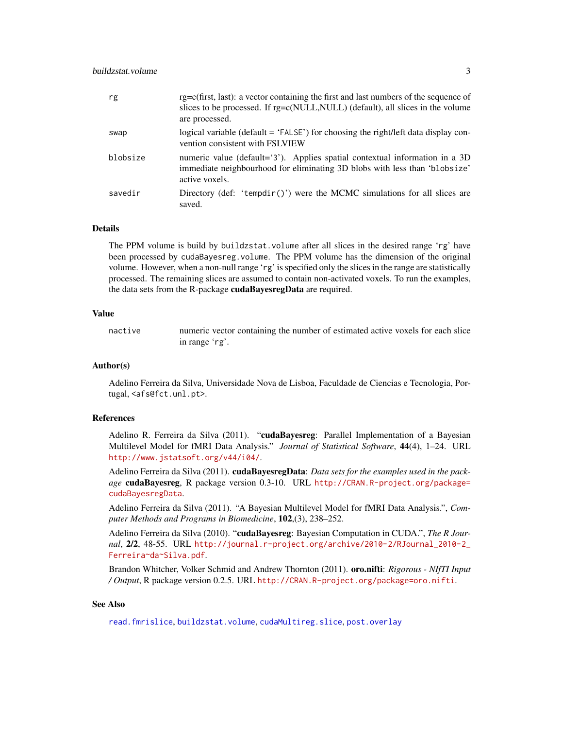<span id="page-2-0"></span>

| rg       | $rg=c(first, last)$ : a vector containing the first and last numbers of the sequence of<br>slices to be processed. If rg=c(NULL, NULL) (default), all slices in the volume<br>are processed. |
|----------|----------------------------------------------------------------------------------------------------------------------------------------------------------------------------------------------|
| swap     | logical variable (default = 'FALSE') for choosing the right/left data display con-<br>vention consistent with FSLVIEW                                                                        |
| blobsize | numeric value (default='3'). Applies spatial contextual information in a 3D<br>immediate neighbourhood for eliminating 3D blobs with less than 'blobsize'<br>active voxels.                  |
| savedir  | Directory (def: 'tempdir()') were the MCMC simulations for all slices are<br>saved.                                                                                                          |

#### Details

The PPM volume is build by buildzstat.volume after all slices in the desired range 'rg' have been processed by cudaBayesreg.volume. The PPM volume has the dimension of the original volume. However, when a non-null range 'rg' is specified only the slices in the range are statistically processed. The remaining slices are assumed to contain non-activated voxels. To run the examples, the data sets from the R-package cudaBayesregData are required.

# Value

nactive numeric vector containing the number of estimated active voxels for each slice in range 'rg'.

#### Author(s)

Adelino Ferreira da Silva, Universidade Nova de Lisboa, Faculdade de Ciencias e Tecnologia, Portugal, <afs@fct.unl.pt>.

## References

Adelino R. Ferreira da Silva (2011). "cudaBayesreg: Parallel Implementation of a Bayesian Multilevel Model for fMRI Data Analysis." *Journal of Statistical Software*, 44(4), 1–24. URL <http://www.jstatsoft.org/v44/i04/>.

Adelino Ferreira da Silva (2011). **cudaBayesregData**: *Data sets for the examples used in the package* cudaBayesreg, R package version 0.3-10. URL [http://CRAN.R-project.org/package=](http://CRAN.R-project.org/package=cudaBayesregData) [cudaBayesregData](http://CRAN.R-project.org/package=cudaBayesregData).

Adelino Ferreira da Silva (2011). "A Bayesian Multilevel Model for fMRI Data Analysis.", *Computer Methods and Programs in Biomedicine*, 102,(3), 238–252.

Adelino Ferreira da Silva (2010). "cudaBayesreg: Bayesian Computation in CUDA.", *The R Journal*, 2/2, 48-55. URL [http://journal.r-project.org/archive/2010-2/RJournal\\_2010-2\\_](http://journal.r-project.org/archive/2010-2/RJournal_2010-2_Ferreira~da~Silva.pdf) [Ferreira~da~Silva.pdf](http://journal.r-project.org/archive/2010-2/RJournal_2010-2_Ferreira~da~Silva.pdf).

Brandon Whitcher, Volker Schmid and Andrew Thornton (2011). oro.nifti: *Rigorous - NIfTI Input / Output*, R package version 0.2.5. URL <http://CRAN.R-project.org/package=oro.nifti>.

#### See Also

[read.fmrislice](#page-22-1), [buildzstat.volume](#page-1-1), [cudaMultireg.slice](#page-3-1), [post.overlay](#page-11-1)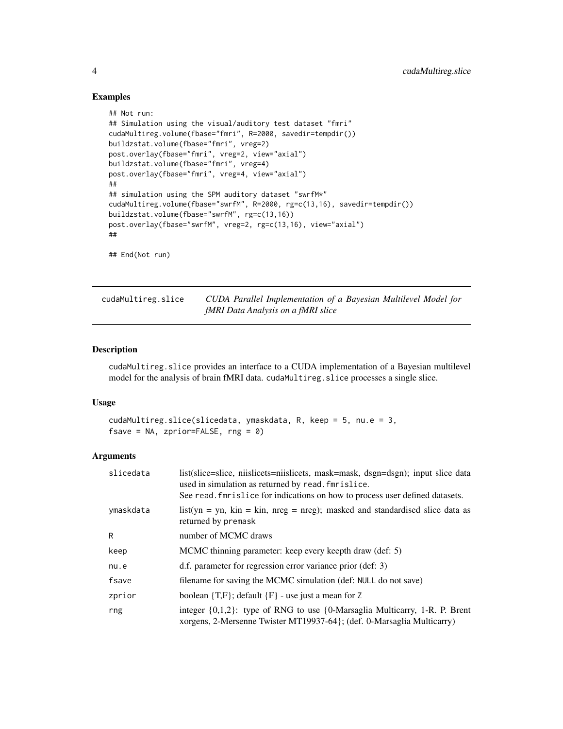## Examples

```
## Not run:
## Simulation using the visual/auditory test dataset "fmri"
cudaMultireg.volume(fbase="fmri", R=2000, savedir=tempdir())
buildzstat.volume(fbase="fmri", vreg=2)
post.overlay(fbase="fmri", vreg=2, view="axial")
buildzstat.volume(fbase="fmri", vreg=4)
post.overlay(fbase="fmri", vreg=4, view="axial")
##
## simulation using the SPM auditory dataset "swrfM*"
cudaMultireg.volume(fbase="swrfM", R=2000, rg=c(13,16), savedir=tempdir())
buildzstat.volume(fbase="swrfM", rg=c(13,16))
post.overlay(fbase="swrfM", vreg=2, rg=c(13,16), view="axial")
##
## End(Not run)
```
<span id="page-3-1"></span>cudaMultireg.slice *CUDA Parallel Implementation of a Bayesian Multilevel Model for fMRI Data Analysis on a fMRI slice*

# Description

cudaMultireg.slice provides an interface to a CUDA implementation of a Bayesian multilevel model for the analysis of brain fMRI data. cudaMultireg.slice processes a single slice.

#### Usage

```
cudaMultireg.slice(slicedata, ymaskdata, R, keep = 5, nu.e = 3,
fsave = NA, zprior=FALSE, rng = 0)
```

| slicedata | list(slice=slice, niislicets=niislicets, mask=mask, dsgn=dsgn); input slice data<br>used in simulation as returned by read. fmrislice.<br>See read. finitlice for indications on how to process user defined datasets. |
|-----------|------------------------------------------------------------------------------------------------------------------------------------------------------------------------------------------------------------------------|
| ymaskdata | $list(yn = yn, kin = kin, nreg = nreg)$ ; masked and standardised slice data as<br>returned by premask                                                                                                                 |
| R         | number of MCMC draws                                                                                                                                                                                                   |
| keep      | MCMC thinning parameter: keep every keepth draw (def: 5)                                                                                                                                                               |
| nu.e      | d.f. parameter for regression error variance prior (def: 3)                                                                                                                                                            |
| fsave     | filename for saving the MCMC simulation (def: NULL do not save)                                                                                                                                                        |
| zprior    | boolean $\{T,F\}$ ; default $\{F\}$ - use just a mean for Z                                                                                                                                                            |
| rng       | integer $\{0,1,2\}$ : type of RNG to use $\{0\}$ -Marsaglia Multicarry, 1-R. P. Brent<br>xorgens, 2-Mersenne Twister MT19937-64; (def. 0-Marsaglia Multicarry)                                                         |

<span id="page-3-0"></span>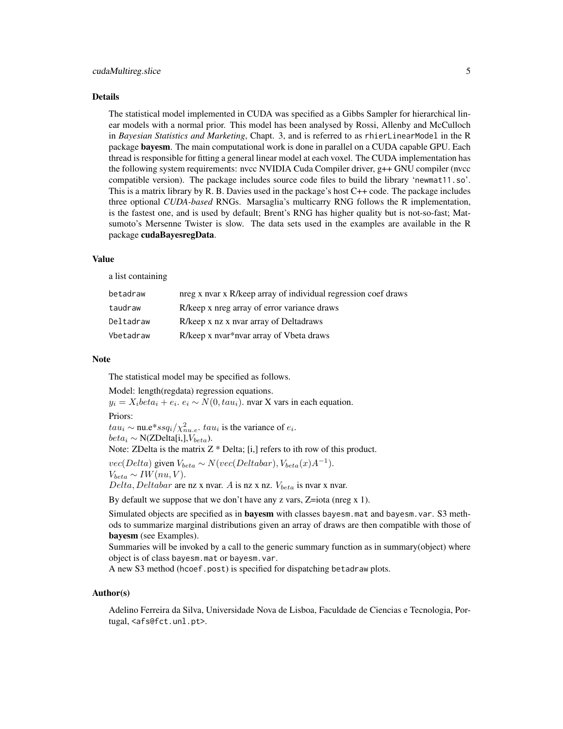#### Details

The statistical model implemented in CUDA was specified as a Gibbs Sampler for hierarchical linear models with a normal prior. This model has been analysed by Rossi, Allenby and McCulloch in *Bayesian Statistics and Marketing*, Chapt. 3, and is referred to as rhierLinearModel in the R package bayesm. The main computational work is done in parallel on a CUDA capable GPU. Each thread is responsible for fitting a general linear model at each voxel. The CUDA implementation has the following system requirements: nvcc NVIDIA Cuda Compiler driver, g++ GNU compiler (nvcc compatible version). The package includes source code files to build the library 'newmat11.so'. This is a matrix library by R. B. Davies used in the package's host C++ code. The package includes three optional *CUDA-based* RNGs. Marsaglia's multicarry RNG follows the R implementation, is the fastest one, and is used by default; Brent's RNG has higher quality but is not-so-fast; Matsumoto's Mersenne Twister is slow. The data sets used in the examples are available in the R package cudaBayesregData.

# Value

a list containing

| betadraw  | nreg x nvar x R/keep array of individual regression coef draws |
|-----------|----------------------------------------------------------------|
| taudraw   | R/keep x nreg array of error variance draws                    |
| Deltadraw | R/keep x nz x nvar array of Deltadraws                         |
| Vbetadraw | R/keep x nvar*nvar array of Vbeta draws                        |

#### Note

The statistical model may be specified as follows.

Model: length(regdata) regression equations.

 $y_i = X_i beta_i + e_i$ .  $e_i \sim N(0, tau_i)$ . nvar X vars in each equation.

Priors:

 $tau_i \sim$  nu.e\*ss $q_i/\chi^2_{nue}$ .  $tau_i$  is the variance of  $e_i$ .

 $beta_i \sim N(ZDelta[i,],V_{beta}).$ 

Note: ZDelta is the matrix  $Z^*$  Delta; [i,] refers to ith row of this product.

 $vec(Delta)$  given  $V_{beta} \sim N(vec(Deltabar), V_{beta}(x)A^{-1}).$  $V_{beta} \sim IW(nu, V).$ 

 $Delta, Delta$ are nz x nvar. A is nz x nz.  $V_{beta}$  is nvar x nvar.

By default we suppose that we don't have any z vars, Z=iota (nreg x 1).

Simulated objects are specified as in bayesm with classes bayesm.mat and bayesm.var. S3 methods to summarize marginal distributions given an array of draws are then compatible with those of bayesm (see Examples).

Summaries will be invoked by a call to the generic summary function as in summary(object) where object is of class bayesm.mat or bayesm.var.

A new S3 method (hcoef.post) is specified for dispatching betadraw plots.

# Author(s)

Adelino Ferreira da Silva, Universidade Nova de Lisboa, Faculdade de Ciencias e Tecnologia, Portugal, <afs@fct.unl.pt>.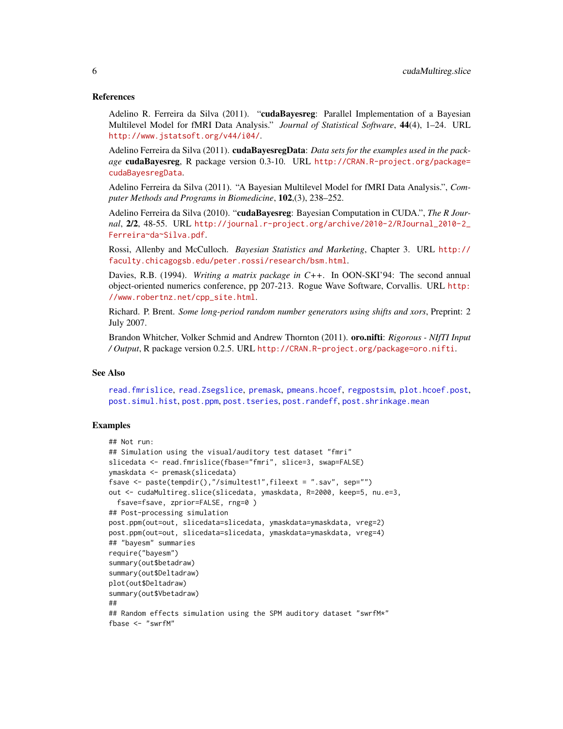#### <span id="page-5-0"></span>References

Adelino R. Ferreira da Silva (2011). "cudaBavesreg: Parallel Implementation of a Bayesian Multilevel Model for fMRI Data Analysis." *Journal of Statistical Software*, 44(4), 1–24. URL <http://www.jstatsoft.org/v44/i04/>.

Adelino Ferreira da Silva (2011). **cudaBayesregData**: *Data sets for the examples used in the package* cudaBayesreg, R package version 0.3-10. URL [http://CRAN.R-project.org/package=](http://CRAN.R-project.org/package=cudaBayesregData) [cudaBayesregData](http://CRAN.R-project.org/package=cudaBayesregData).

Adelino Ferreira da Silva (2011). "A Bayesian Multilevel Model for fMRI Data Analysis.", *Computer Methods and Programs in Biomedicine*, 102,(3), 238–252.

Adelino Ferreira da Silva (2010). "cudaBayesreg: Bayesian Computation in CUDA.", *The R Journal*, 2/2, 48-55. URL [http://journal.r-project.org/archive/2010-2/RJournal\\_2010-2\\_](http://journal.r-project.org/archive/2010-2/RJournal_2010-2_Ferreira~da~Silva.pdf) [Ferreira~da~Silva.pdf](http://journal.r-project.org/archive/2010-2/RJournal_2010-2_Ferreira~da~Silva.pdf).

Rossi, Allenby and McCulloch. *Bayesian Statistics and Marketing*, Chapter 3. URL [http://](http://faculty.chicagogsb.edu/peter.rossi/research/bsm.html) [faculty.chicagogsb.edu/peter.rossi/research/bsm.html](http://faculty.chicagogsb.edu/peter.rossi/research/bsm.html).

Davies, R.B. (1994). *Writing a matrix package in C++*. In OON-SKI'94: The second annual object-oriented numerics conference, pp 207-213. Rogue Wave Software, Corvallis. URL [http:](http://www.robertnz.net/cpp_site.html) [//www.robertnz.net/cpp\\_site.html](http://www.robertnz.net/cpp_site.html).

Richard. P. Brent. *Some long-period random number generators using shifts and xors*, Preprint: 2 July 2007.

Brandon Whitcher, Volker Schmid and Andrew Thornton (2011). oro.nifti: *Rigorous - NIfTI Input / Output*, R package version 0.2.5. URL <http://CRAN.R-project.org/package=oro.nifti>.

## See Also

[read.fmrislice](#page-22-1), [read.Zsegslice](#page-24-1), [premask](#page-21-1), [pmeans.hcoef](#page-10-1), [regpostsim](#page-25-1), [plot.hcoef.post](#page-9-1), [post.simul.hist](#page-19-1), [post.ppm](#page-12-1), [post.tseries](#page-20-1), [post.randeff](#page-14-1), [post.shrinkage.mean](#page-15-1)

#### Examples

```
## Not run:
## Simulation using the visual/auditory test dataset "fmri"
slicedata <- read.fmrislice(fbase="fmri", slice=3, swap=FALSE)
ymaskdata <- premask(slicedata)
fsave <- paste(tempdir(),"/simultest1",fileext = ".sav", sep="")
out <- cudaMultireg.slice(slicedata, ymaskdata, R=2000, keep=5, nu.e=3,
 fsave=fsave, zprior=FALSE, rng=0 )
## Post-processing simulation
post.ppm(out=out, slicedata=slicedata, ymaskdata=ymaskdata, vreg=2)
post.ppm(out=out, slicedata=slicedata, ymaskdata=ymaskdata, vreg=4)
## "bayesm" summaries
require("bayesm")
summary(out$betadraw)
summary(out$Deltadraw)
plot(out$Deltadraw)
summary(out$Vbetadraw)
##
## Random effects simulation using the SPM auditory dataset "swrfM*"
fbase <- "swrfM"
```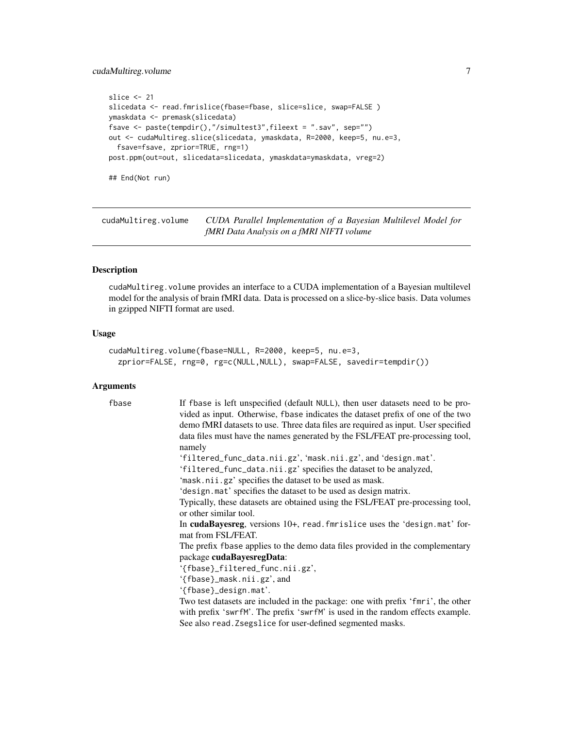# <span id="page-6-0"></span>cudaMultireg.volume 7

```
slice <- 21
slicedata <- read.fmrislice(fbase=fbase, slice=slice, swap=FALSE)
ymaskdata <- premask(slicedata)
fsave <- paste(tempdir(),"/simultest3",fileext = ".sav", sep="")
out <- cudaMultireg.slice(slicedata, ymaskdata, R=2000, keep=5, nu.e=3,
  fsave=fsave, zprior=TRUE, rng=1)
post.ppm(out=out, slicedata=slicedata, ymaskdata=ymaskdata, vreg=2)
## End(Not run)
```
<span id="page-6-1"></span>cudaMultireg.volume *CUDA Parallel Implementation of a Bayesian Multilevel Model for fMRI Data Analysis on a fMRI NIFTI volume*

#### Description

cudaMultireg.volume provides an interface to a CUDA implementation of a Bayesian multilevel model for the analysis of brain fMRI data. Data is processed on a slice-by-slice basis. Data volumes in gzipped NIFTI format are used.

# Usage

```
cudaMultireg.volume(fbase=NULL, R=2000, keep=5, nu.e=3,
  zprior=FALSE, rng=0, rg=c(NULL,NULL), swap=FALSE, savedir=tempdir())
```

| fbase | If fbase is left unspecified (default NULL), then user datasets need to be pro-<br>vided as input. Otherwise, fbase indicates the dataset prefix of one of the two<br>demo fMRI datasets to use. Three data files are required as input. User specified<br>data files must have the names generated by the FSL/FEAT pre-processing tool,<br>namely |
|-------|----------------------------------------------------------------------------------------------------------------------------------------------------------------------------------------------------------------------------------------------------------------------------------------------------------------------------------------------------|
|       | 'filtered_func_data.nii.gz', 'mask.nii.gz', and 'design.mat'.<br>'filtered_func_data.nii.gz' specifies the dataset to be analyzed,                                                                                                                                                                                                                 |
|       | 'mask.nii.gz' specifies the dataset to be used as mask.                                                                                                                                                                                                                                                                                            |
|       | 'design.mat' specifies the dataset to be used as design matrix.                                                                                                                                                                                                                                                                                    |
|       | Typically, these datasets are obtained using the FSL/FEAT pre-processing tool,<br>or other similar tool.                                                                                                                                                                                                                                           |
|       | In cudaBayesreg, versions 10+, read. fmrislice uses the 'design.mat' for-<br>mat from FSL/FEAT.                                                                                                                                                                                                                                                    |
|       | The prefix fbase applies to the demo data files provided in the complementary                                                                                                                                                                                                                                                                      |
|       | package cudaBayesregData:                                                                                                                                                                                                                                                                                                                          |
|       | '{fbase}_filtered_func.nii.gz',                                                                                                                                                                                                                                                                                                                    |
|       | '{fbase}_mask.nii.gz', and                                                                                                                                                                                                                                                                                                                         |
|       | '{fbase}_design.mat'.                                                                                                                                                                                                                                                                                                                              |
|       | Two test datasets are included in the package: one with prefix 'fmri', the other                                                                                                                                                                                                                                                                   |
|       | with prefix 'swrfM'. The prefix 'swrfM' is used in the random effects example.                                                                                                                                                                                                                                                                     |
|       | See also read. Zsegslice for user-defined segmented masks.                                                                                                                                                                                                                                                                                         |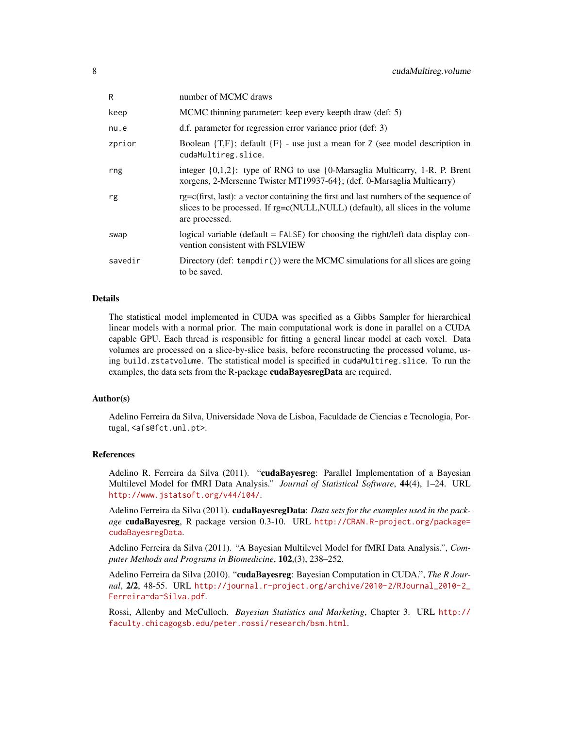| R       | number of MCMC draws                                                                                                                                                                           |
|---------|------------------------------------------------------------------------------------------------------------------------------------------------------------------------------------------------|
| keep    | MCMC thinning parameter: keep every keepth draw (def: 5)                                                                                                                                       |
| nu.e    | d.f. parameter for regression error variance prior (def: 3)                                                                                                                                    |
| zprior  | Boolean $\{T,F\}$ ; default $\{F\}$ - use just a mean for Z (see model description in<br>cudaMultireg.slice.                                                                                   |
| rng     | integer $\{0,1,2\}$ : type of RNG to use $\{0\}$ -Marsaglia Multicarry, 1-R. P. Brent<br>xorgens, 2-Mersenne Twister MT19937-64}; (def. 0-Marsaglia Multicarry)                                |
| rg      | $rg = c(first, last)$ : a vector containing the first and last numbers of the sequence of<br>slices to be processed. If rg=c(NULL, NULL) (default), all slices in the volume<br>are processed. |
| swap    | logical variable (default = FALSE) for choosing the right/left data display con-<br>vention consistent with FSLVIEW                                                                            |
| savedir | Directory (def: tempdir()) were the MCMC simulations for all slices are going<br>to be saved.                                                                                                  |

# Details

The statistical model implemented in CUDA was specified as a Gibbs Sampler for hierarchical linear models with a normal prior. The main computational work is done in parallel on a CUDA capable GPU. Each thread is responsible for fitting a general linear model at each voxel. Data volumes are processed on a slice-by-slice basis, before reconstructing the processed volume, using build.zstatvolume. The statistical model is specified in cudaMultireg.slice. To run the examples, the data sets from the R-package cudaBayesregData are required.

# Author(s)

Adelino Ferreira da Silva, Universidade Nova de Lisboa, Faculdade de Ciencias e Tecnologia, Portugal, <afs@fct.unl.pt>.

# References

Adelino R. Ferreira da Silva (2011). "cudaBayesreg: Parallel Implementation of a Bayesian Multilevel Model for fMRI Data Analysis." *Journal of Statistical Software*, 44(4), 1–24. URL <http://www.jstatsoft.org/v44/i04/>.

Adelino Ferreira da Silva (2011). cudaBayesregData: *Data sets for the examples used in the package* cudaBayesreg, R package version 0.3-10. URL [http://CRAN.R-project.org/package=](http://CRAN.R-project.org/package=cudaBayesregData) [cudaBayesregData](http://CRAN.R-project.org/package=cudaBayesregData).

Adelino Ferreira da Silva (2011). "A Bayesian Multilevel Model for fMRI Data Analysis.", *Computer Methods and Programs in Biomedicine*, 102,(3), 238–252.

Adelino Ferreira da Silva (2010). "cudaBayesreg: Bayesian Computation in CUDA.", *The R Journal*, 2/2, 48-55. URL [http://journal.r-project.org/archive/2010-2/RJournal\\_2010-2\\_](http://journal.r-project.org/archive/2010-2/RJournal_2010-2_Ferreira~da~Silva.pdf) [Ferreira~da~Silva.pdf](http://journal.r-project.org/archive/2010-2/RJournal_2010-2_Ferreira~da~Silva.pdf).

Rossi, Allenby and McCulloch. *Bayesian Statistics and Marketing*, Chapter 3. URL [http://](http://faculty.chicagogsb.edu/peter.rossi/research/bsm.html) [faculty.chicagogsb.edu/peter.rossi/research/bsm.html](http://faculty.chicagogsb.edu/peter.rossi/research/bsm.html).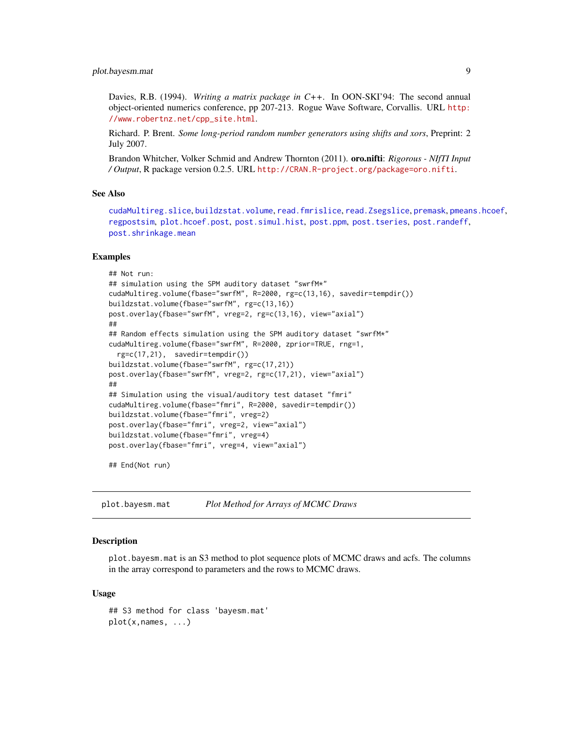# <span id="page-8-0"></span>plot.bayesm.mat 9

Davies, R.B. (1994). *Writing a matrix package in C++*. In OON-SKI'94: The second annual object-oriented numerics conference, pp 207-213. Rogue Wave Software, Corvallis. URL [http:](http://www.robertnz.net/cpp_site.html) [//www.robertnz.net/cpp\\_site.html](http://www.robertnz.net/cpp_site.html).

Richard. P. Brent. *Some long-period random number generators using shifts and xors*, Preprint: 2 July 2007.

Brandon Whitcher, Volker Schmid and Andrew Thornton (2011). oro.nifti: *Rigorous - NIfTI Input / Output*, R package version 0.2.5. URL <http://CRAN.R-project.org/package=oro.nifti>.

#### See Also

[cudaMultireg.slice](#page-3-1), [buildzstat.volume](#page-1-1), [read.fmrislice](#page-22-1), [read.Zsegslice](#page-24-1), [premask](#page-21-1), [pmeans.hcoef](#page-10-1), [regpostsim](#page-25-1), [plot.hcoef.post](#page-9-1), [post.simul.hist](#page-19-1), [post.ppm](#page-12-1), [post.tseries](#page-20-1), [post.randeff](#page-14-1), [post.shrinkage.mean](#page-15-1)

#### Examples

```
## Not run:
## simulation using the SPM auditory dataset "swrfM*"
cudaMultireg.volume(fbase="swrfM", R=2000, rg=c(13,16), savedir=tempdir())
buildzstat.volume(fbase="swrfM", rg=c(13,16))
post.overlay(fbase="swrfM", vreg=2, rg=c(13,16), view="axial")
##
## Random effects simulation using the SPM auditory dataset "swrfM*"
cudaMultireg.volume(fbase="swrfM", R=2000, zprior=TRUE, rng=1,
  rg=c(17,21), savedir=tempdir())
buildzstat.volume(fbase="swrfM", rg=c(17,21))
post.overlay(fbase="swrfM", vreg=2, rg=c(17,21), view="axial")
##
## Simulation using the visual/auditory test dataset "fmri"
cudaMultireg.volume(fbase="fmri", R=2000, savedir=tempdir())
buildzstat.volume(fbase="fmri", vreg=2)
post.overlay(fbase="fmri", vreg=2, view="axial")
buildzstat.volume(fbase="fmri", vreg=4)
post.overlay(fbase="fmri", vreg=4, view="axial")
```
## End(Not run)

plot.bayesm.mat *Plot Method for Arrays of MCMC Draws*

#### Description

plot.bayesm.mat is an S3 method to plot sequence plots of MCMC draws and acfs. The columns in the array correspond to parameters and the rows to MCMC draws.

#### Usage

```
## S3 method for class 'bayesm.mat'
plot(x,names, ...)
```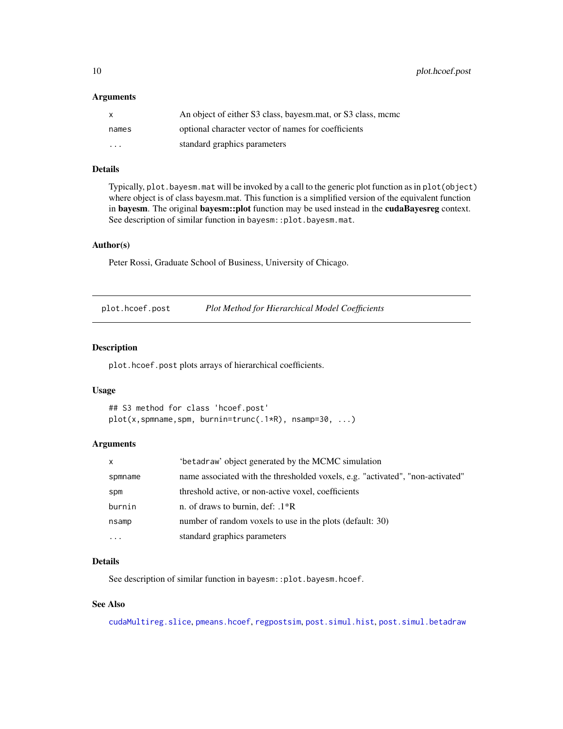<span id="page-9-0"></span>10 plot.hcoef.post

#### **Arguments**

| X                       | An object of either S3 class, bayesm.mat, or S3 class, mcmc |
|-------------------------|-------------------------------------------------------------|
| names                   | optional character vector of names for coefficients         |
| $\cdot$ $\cdot$ $\cdot$ | standard graphics parameters                                |

#### Details

Typically, plot.bayesm.mat will be invoked by a call to the generic plot function as in plot(object) where object is of class bayesm.mat. This function is a simplified version of the equivalent function in bayesm. The original bayesm::plot function may be used instead in the cudaBayesreg context. See description of similar function in bayesm::plot.bayesm.mat.

#### Author(s)

Peter Rossi, Graduate School of Business, University of Chicago.

<span id="page-9-1"></span>plot.hcoef.post *Plot Method for Hierarchical Model Coefficients*

#### Description

plot.hcoef.post plots arrays of hierarchical coefficients.

#### Usage

```
## S3 method for class 'hcoef.post'
plot(x,spmname,spm, burnin=trunc(.1*R), nsamp=30, ...)
```
#### Arguments

| X        | 'betadraw' object generated by the MCMC simulation                             |
|----------|--------------------------------------------------------------------------------|
| spmname  | name associated with the thresholded voxels, e.g. "activated", "non-activated" |
| spm      | threshold active, or non-active voxel, coefficients                            |
| burnin   | n. of draws to burnin, def: $.1*R$                                             |
| nsamp    | number of random voxels to use in the plots (default: 30)                      |
| $\cdots$ | standard graphics parameters                                                   |

# Details

See description of similar function in bayesm::plot.bayesm.hcoef.

# See Also

[cudaMultireg.slice](#page-3-1), [pmeans.hcoef](#page-10-1), [regpostsim](#page-25-1), [post.simul.hist](#page-19-1), [post.simul.betadraw](#page-18-1)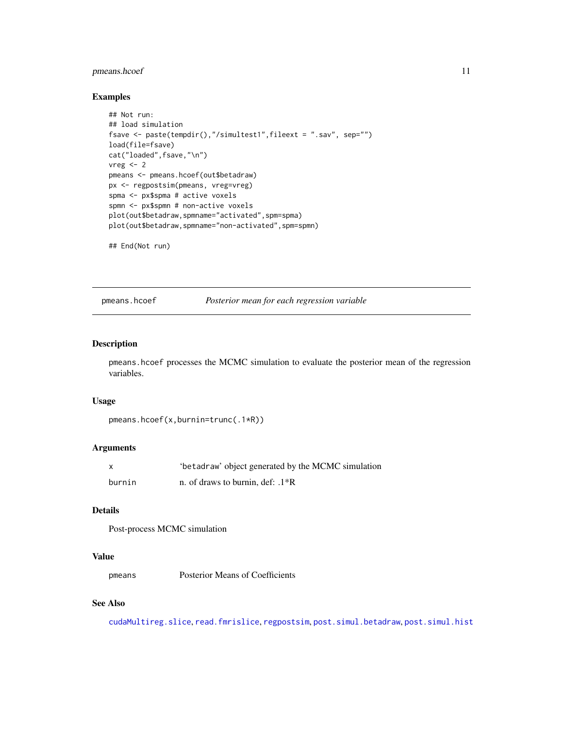# <span id="page-10-0"></span>pmeans.hcoef 11

# Examples

```
## Not run:
## load simulation
fsave <- paste(tempdir(),"/simultest1",fileext = ".sav", sep="")
load(file=fsave)
cat("loaded",fsave,"\n")
vreg \leftarrow 2pmeans <- pmeans.hcoef(out$betadraw)
px <- regpostsim(pmeans, vreg=vreg)
spma <- px$spma # active voxels
spmn <- px$spmn # non-active voxels
plot(out$betadraw,spmname="activated",spm=spma)
plot(out$betadraw,spmname="non-activated",spm=spmn)
```
## End(Not run)

<span id="page-10-1"></span>pmeans.hcoef *Posterior mean for each regression variable*

# Description

pmeans.hcoef processes the MCMC simulation to evaluate the posterior mean of the regression variables.

# Usage

```
pmeans.hcoef(x,burnin=trunc(.1*R))
```
# Arguments

| $\mathsf{x}$ | 'betadraw' object generated by the MCMC simulation |
|--------------|----------------------------------------------------|
| burnin       | n. of draws to burnin, def: $.1*R$                 |

# Details

Post-process MCMC simulation

# Value

```
pmeans Posterior Means of Coefficients
```
# See Also

[cudaMultireg.slice](#page-3-1), [read.fmrislice](#page-22-1), [regpostsim](#page-25-1), [post.simul.betadraw](#page-18-1), [post.simul.hist](#page-19-1)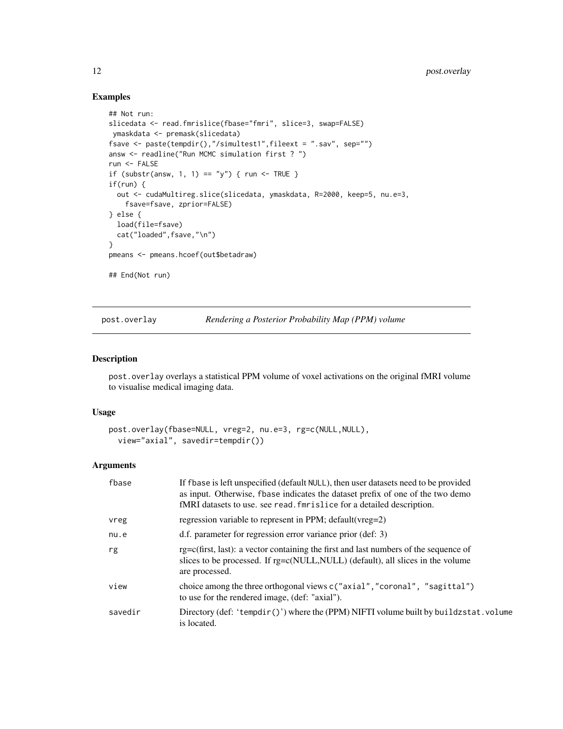# Examples

```
## Not run:
slicedata <- read.fmrislice(fbase="fmri", slice=3, swap=FALSE)
ymaskdata <- premask(slicedata)
fsave <- paste(tempdir(),"/simultest1",fileext = ".sav", sep="")
answ <- readline("Run MCMC simulation first ? ")
run <- FALSE
if (substr(answ, 1, 1) == "y") { run <- TRUE }
if(run) {
  out <- cudaMultireg.slice(slicedata, ymaskdata, R=2000, keep=5, nu.e=3,
   fsave=fsave, zprior=FALSE)
} else {
  load(file=fsave)
  cat("loaded", fsave, "\n")
}
pmeans <- pmeans.hcoef(out$betadraw)
## End(Not run)
```
<span id="page-11-1"></span>post.overlay *Rendering a Posterior Probability Map (PPM) volume*

#### Description

post.overlay overlays a statistical PPM volume of voxel activations on the original fMRI volume to visualise medical imaging data.

#### Usage

```
post.overlay(fbase=NULL, vreg=2, nu.e=3, rg=c(NULL,NULL),
  view="axial", savedir=tempdir())
```

| fbase   | If fbase is left unspecified (default NULL), then user datasets need to be provided<br>as input. Otherwise, fbase indicates the dataset prefix of one of the two demo<br>fMRI datasets to use. see read. fmrislice for a detailed description. |
|---------|------------------------------------------------------------------------------------------------------------------------------------------------------------------------------------------------------------------------------------------------|
| vreg    | regression variable to represent in PPM; default (vreg=2)                                                                                                                                                                                      |
| nu.e    | d.f. parameter for regression error variance prior (def: 3)                                                                                                                                                                                    |
| rg      | $rg = c(first, last)$ : a vector containing the first and last numbers of the sequence of<br>slices to be processed. If rg=c(NULL, NULL) (default), all slices in the volume<br>are processed.                                                 |
| view    | choice among the three orthogonal views $c("axial", "coronal", "sagittal")$<br>to use for the rendered image, (def: "axial").                                                                                                                  |
| savedir | Directory (def: 'tempdir()') where the (PPM) NIFTI volume built by buildzstat.volume<br>is located.                                                                                                                                            |

<span id="page-11-0"></span>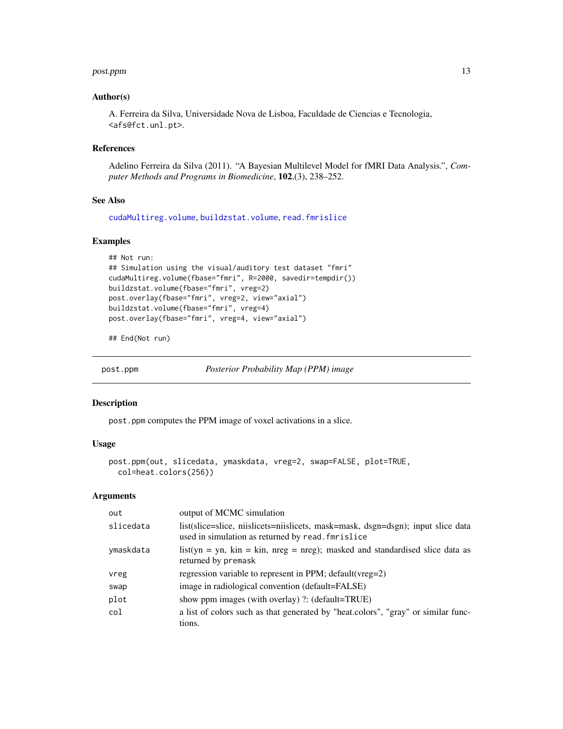#### <span id="page-12-0"></span>post.ppm and the set of the set of the set of the set of the set of the set of the set of the set of the set of the set of the set of the set of the set of the set of the set of the set of the set of the set of the set of

#### Author(s)

A. Ferreira da Silva, Universidade Nova de Lisboa, Faculdade de Ciencias e Tecnologia, <afs@fct.unl.pt>.

## References

Adelino Ferreira da Silva (2011). "A Bayesian Multilevel Model for fMRI Data Analysis.", *Computer Methods and Programs in Biomedicine*, 102,(3), 238–252.

# See Also

[cudaMultireg.volume](#page-6-1), [buildzstat.volume](#page-1-1), [read.fmrislice](#page-22-1)

# Examples

```
## Not run:
## Simulation using the visual/auditory test dataset "fmri"
cudaMultireg.volume(fbase="fmri", R=2000, savedir=tempdir())
buildzstat.volume(fbase="fmri", vreg=2)
post.overlay(fbase="fmri", vreg=2, view="axial")
buildzstat.volume(fbase="fmri", vreg=4)
post.overlay(fbase="fmri", vreg=4, view="axial")
```
## End(Not run)

<span id="page-12-1"></span>post.ppm *Posterior Probability Map (PPM) image*

#### **Description**

post.ppm computes the PPM image of voxel activations in a slice.

#### Usage

```
post.ppm(out, slicedata, ymaskdata, vreg=2, swap=FALSE, plot=TRUE,
 col=heat.colors(256))
```

| out       | output of MCMC simulation                                                                                                             |
|-----------|---------------------------------------------------------------------------------------------------------------------------------------|
| slicedata | list(slice=slice, niislicets=niislicets, mask=mask, dsgn=dsgn); input slice data<br>used in simulation as returned by read. fmrislice |
| ymaskdata | list(yn = yn, kin = kin, nreg = nreg); masked and standardised slice data as<br>returned by premask                                   |
| vreg      | regression variable to represent in PPM; default (vreg=2)                                                                             |
| swap      | image in radiological convention (default=FALSE)                                                                                      |
| plot      | show ppm images (with overlay) ?: (default=TRUE)                                                                                      |
| col       | a list of colors such as that generated by "heat.colors", "gray" or similar func-<br>tions.                                           |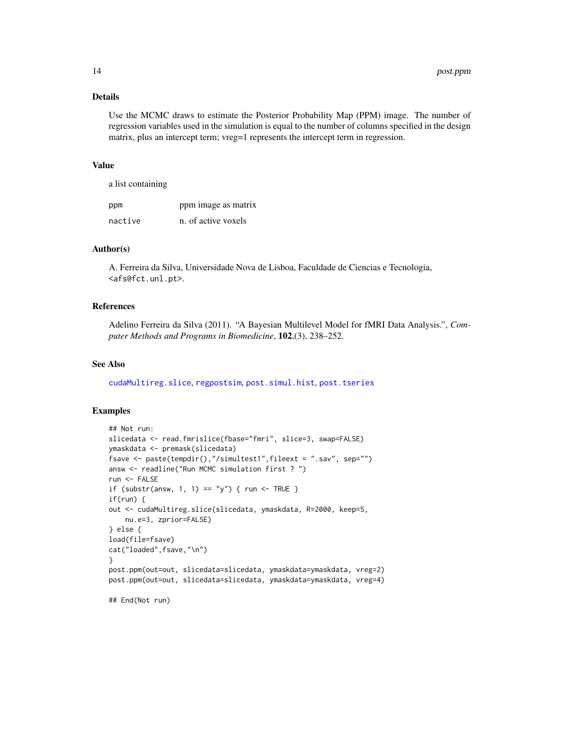# <span id="page-13-0"></span>Details

Use the MCMC draws to estimate the Posterior Probability Map (PPM) image. The number of regression variables used in the simulation is equal to the number of columns specified in the design matrix, plus an intercept term; vreg=1 represents the intercept term in regression.

#### Value

a list containing

| ppm     | ppm image as matrix |
|---------|---------------------|
| nactive | n. of active voxels |

# Author(s)

A. Ferreira da Silva, Universidade Nova de Lisboa, Faculdade de Ciencias e Tecnologia, <afs@fct.unl.pt>.

# References

Adelino Ferreira da Silva (2011). "A Bayesian Multilevel Model for fMRI Data Analysis.", *Computer Methods and Programs in Biomedicine*, 102,(3), 238–252.

#### See Also

[cudaMultireg.slice](#page-3-1), [regpostsim](#page-25-1), [post.simul.hist](#page-19-1), [post.tseries](#page-20-1)

# Examples

```
## Not run:
slicedata <- read.fmrislice(fbase="fmri", slice=3, swap=FALSE)
ymaskdata <- premask(slicedata)
fsave <- paste(tempdir(),"/simultest1",fileext = ".sav", sep="")
answ <- readline("Run MCMC simulation first ? ")
run <- FALSE
if (substr(answ, 1, 1) == "y") { run <- TRUE }
if(run) {
out <- cudaMultireg.slice(slicedata, ymaskdata, R=2000, keep=5,
    nu.e=3, zprior=FALSE)
} else {
load(file=fsave)
cat("loaded",fsave,"\n")
}
post.ppm(out=out, slicedata=slicedata, ymaskdata=ymaskdata, vreg=2)
post.ppm(out=out, slicedata=slicedata, ymaskdata=ymaskdata, vreg=4)
## End(Not run)
```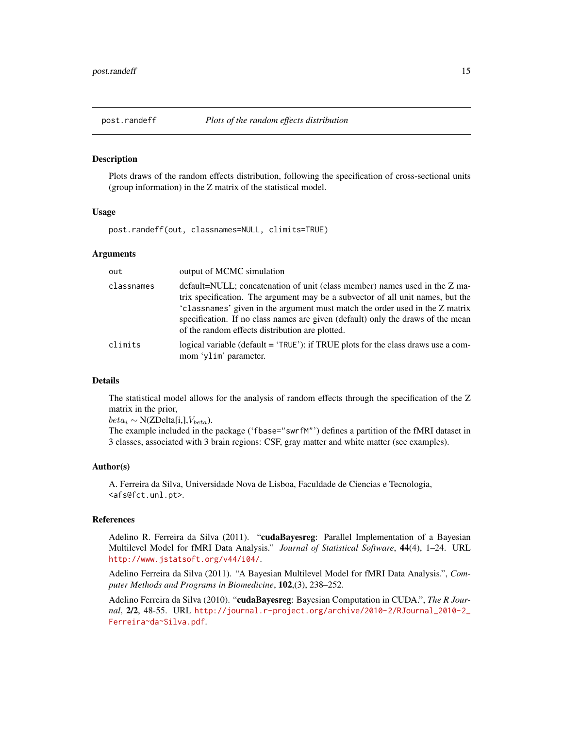<span id="page-14-1"></span><span id="page-14-0"></span>

#### **Description**

Plots draws of the random effects distribution, following the specification of cross-sectional units (group information) in the Z matrix of the statistical model.

# Usage

post.randeff(out, classnames=NULL, climits=TRUE)

#### **Arguments**

| out        | output of MCMC simulation                                                                                                                                                                                                                                                                                                                                                          |
|------------|------------------------------------------------------------------------------------------------------------------------------------------------------------------------------------------------------------------------------------------------------------------------------------------------------------------------------------------------------------------------------------|
| classnames | default=NULL; concatenation of unit (class member) names used in the Z ma-<br>trix specification. The argument may be a subvector of all unit names, but the<br>'classnames' given in the argument must match the order used in the Z matrix<br>specification. If no class names are given (default) only the draws of the mean<br>of the random effects distribution are plotted. |
| climits    | logical variable (default = ' $TRUE$ '): if $TRUE$ plots for the class draws use a com-<br>mom 'ylim' parameter.                                                                                                                                                                                                                                                                   |

#### Details

The statistical model allows for the analysis of random effects through the specification of the Z matrix in the prior,

 $beta_i \sim N(ZDelta[i,j], V_{beta}).$ 

The example included in the package ('fbase="swrfM"') defines a partition of the fMRI dataset in 3 classes, associated with 3 brain regions: CSF, gray matter and white matter (see examples).

#### Author(s)

A. Ferreira da Silva, Universidade Nova de Lisboa, Faculdade de Ciencias e Tecnologia, <afs@fct.unl.pt>.

#### References

Adelino R. Ferreira da Silva (2011). "cudaBayesreg: Parallel Implementation of a Bayesian Multilevel Model for fMRI Data Analysis." *Journal of Statistical Software*, 44(4), 1–24. URL <http://www.jstatsoft.org/v44/i04/>.

Adelino Ferreira da Silva (2011). "A Bayesian Multilevel Model for fMRI Data Analysis.", *Computer Methods and Programs in Biomedicine*, 102,(3), 238–252.

Adelino Ferreira da Silva (2010). "cudaBayesreg: Bayesian Computation in CUDA.", *The R Journal*, 2/2, 48-55. URL [http://journal.r-project.org/archive/2010-2/RJournal\\_2010-2\\_](http://journal.r-project.org/archive/2010-2/RJournal_2010-2_Ferreira~da~Silva.pdf) [Ferreira~da~Silva.pdf](http://journal.r-project.org/archive/2010-2/RJournal_2010-2_Ferreira~da~Silva.pdf).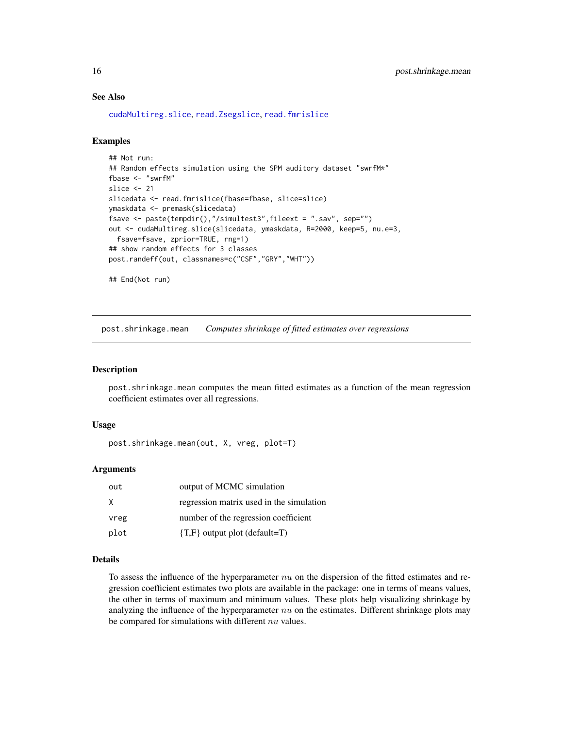# See Also

[cudaMultireg.slice](#page-3-1), [read.Zsegslice](#page-24-1), [read.fmrislice](#page-22-1)

#### Examples

```
## Not run:
## Random effects simulation using the SPM auditory dataset "swrfM*"
fbase <- "swrfM"
slice <- 21
slicedata <- read.fmrislice(fbase=fbase, slice=slice)
ymaskdata <- premask(slicedata)
fsave <- paste(tempdir(),"/simultest3",fileext = ".sav", sep="")
out <- cudaMultireg.slice(slicedata, ymaskdata, R=2000, keep=5, nu.e=3,
  fsave=fsave, zprior=TRUE, rng=1)
## show random effects for 3 classes
post.randeff(out, classnames=c("CSF","GRY","WHT"))
## End(Not run)
```
<span id="page-15-1"></span>post.shrinkage.mean *Computes shrinkage of fitted estimates over regressions*

# Description

post.shrinkage.mean computes the mean fitted estimates as a function of the mean regression coefficient estimates over all regressions.

#### Usage

post.shrinkage.mean(out, X, vreg, plot=T)

#### Arguments

| out  | output of MCMC simulation                |
|------|------------------------------------------|
| X    | regression matrix used in the simulation |
| vreg | number of the regression coefficient     |
| plot | $\{T,F\}$ output plot (default=T)        |

#### Details

To assess the influence of the hyperparameter  $nu$  on the dispersion of the fitted estimates and regression coefficient estimates two plots are available in the package: one in terms of means values, the other in terms of maximum and minimum values. These plots help visualizing shrinkage by analyzing the influence of the hyperparameter  $nu$  on the estimates. Different shrinkage plots may be compared for simulations with different  $nu$  values.

<span id="page-15-0"></span>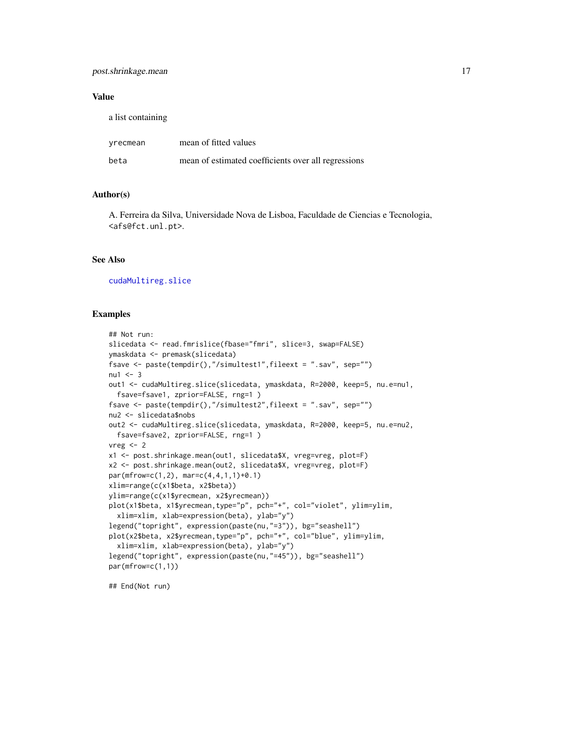# post.shrinkage.mean 17

#### Value

a list containing

| yrecmean | mean of fitted values                               |
|----------|-----------------------------------------------------|
| beta     | mean of estimated coefficients over all regressions |

#### Author(s)

A. Ferreira da Silva, Universidade Nova de Lisboa, Faculdade de Ciencias e Tecnologia, <afs@fct.unl.pt>.

#### See Also

[cudaMultireg.slice](#page-3-1)

# Examples

```
## Not run:
slicedata <- read.fmrislice(fbase="fmri", slice=3, swap=FALSE)
ymaskdata <- premask(slicedata)
fsave <- paste(tempdir(),"/simultest1",fileext = ".sav", sep="")
nu1 < -3out1 <- cudaMultireg.slice(slicedata, ymaskdata, R=2000, keep=5, nu.e=nu1,
  fsave=fsave1, zprior=FALSE, rng=1 )
fsave <- paste(tempdir(),"/simultest2",fileext = ".sav", sep="")
nu2 <- slicedata$nobs
out2 <- cudaMultireg.slice(slicedata, ymaskdata, R=2000, keep=5, nu.e=nu2,
  fsave=fsave2, zprior=FALSE, rng=1 )
vreg < -2x1 <- post.shrinkage.mean(out1, slicedata$X, vreg=vreg, plot=F)
x2 <- post.shrinkage.mean(out2, slicedata$X, vreg=vreg, plot=F)
par(mfrow=c(1,2), mar=c(4,4,1,1)+0.1)
xlim=range(c(x1$beta, x2$beta))
ylim=range(c(x1$yrecmean, x2$yrecmean))
plot(x1$beta, x1$yrecmean,type="p", pch="+", col="violet", ylim=ylim,
  xlim=xlim, xlab=expression(beta), ylab="y")
legend("topright", expression(paste(nu,"=3")), bg="seashell")
plot(x2$beta, x2$yrecmean,type="p", pch="+", col="blue", ylim=ylim,
  xlim=xlim, xlab=expression(beta), ylab="y")
legend("topright", expression(paste(nu,"=45")), bg="seashell")
par(mfrow=c(1,1))
```
## End(Not run)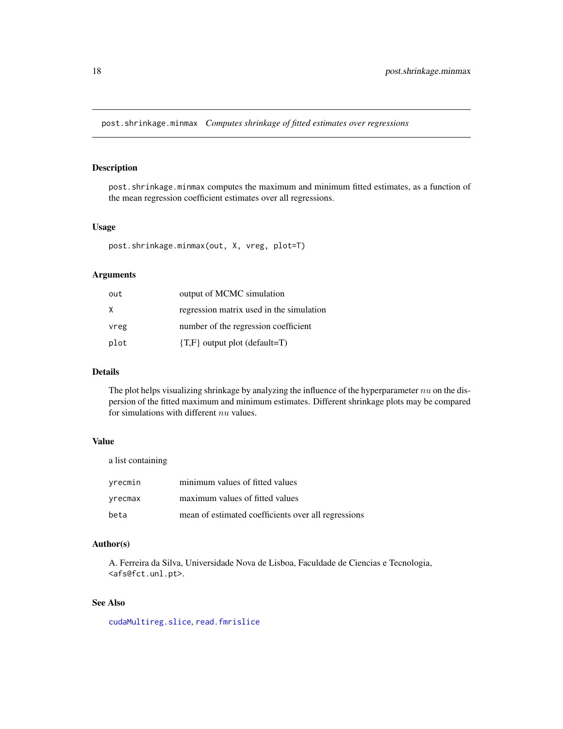<span id="page-17-0"></span>post.shrinkage.minmax *Computes shrinkage of fitted estimates over regressions*

# Description

post.shrinkage.minmax computes the maximum and minimum fitted estimates, as a function of the mean regression coefficient estimates over all regressions.

# Usage

```
post.shrinkage.minmax(out, X, vreg, plot=T)
```
# Arguments

| out  | output of MCMC simulation                |
|------|------------------------------------------|
| X    | regression matrix used in the simulation |
| vreg | number of the regression coefficient     |
| plot | $\{T,F\}$ output plot (default=T)        |

#### Details

The plot helps visualizing shrinkage by analyzing the influence of the hyperparameter  $nu$  on the dispersion of the fitted maximum and minimum estimates. Different shrinkage plots may be compared for simulations with different nu values.

## Value

a list containing

| vrecmin | minimum values of fitted values                     |
|---------|-----------------------------------------------------|
| yrecmax | maximum values of fitted values                     |
| beta    | mean of estimated coefficients over all regressions |

#### Author(s)

A. Ferreira da Silva, Universidade Nova de Lisboa, Faculdade de Ciencias e Tecnologia, <afs@fct.unl.pt>.

# See Also

[cudaMultireg.slice](#page-3-1), [read.fmrislice](#page-22-1)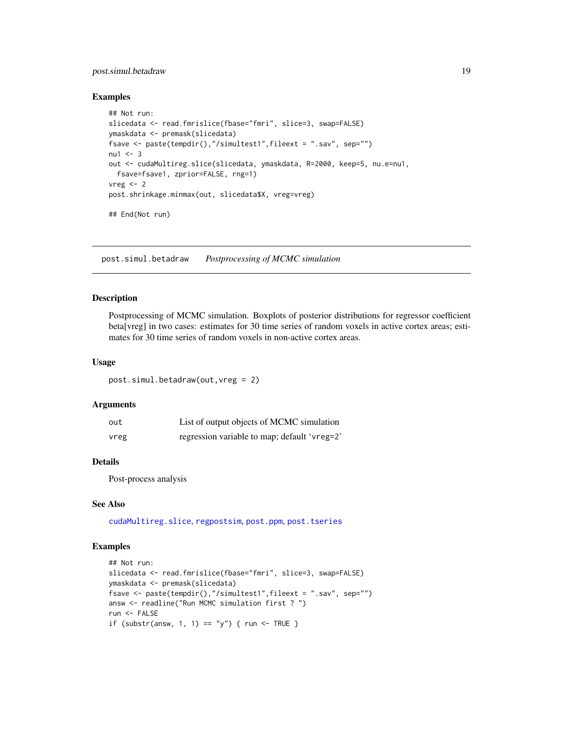# <span id="page-18-0"></span>post.simul.betadraw 19

#### Examples

```
## Not run:
slicedata <- read.fmrislice(fbase="fmri", slice=3, swap=FALSE)
ymaskdata <- premask(slicedata)
fsave <- paste(tempdir(),"/simultest1",fileext = ".sav", sep="")
nu1 < -3out <- cudaMultireg.slice(slicedata, ymaskdata, R=2000, keep=5, nu.e=nu1,
  fsave=fsave1, zprior=FALSE, rng=1)
vreg < -2post.shrinkage.minmax(out, slicedata$X, vreg=vreg)
## End(Not run)
```
<span id="page-18-1"></span>post.simul.betadraw *Postprocessing of MCMC simulation*

# Description

Postprocessing of MCMC simulation. Boxplots of posterior distributions for regressor coefficient beta[vreg] in two cases: estimates for 30 time series of random voxels in active cortex areas; estimates for 30 time series of random voxels in non-active cortex areas.

#### Usage

post.simul.betadraw(out,vreg = 2)

# Arguments

| out  | List of output objects of MCMC simulation    |
|------|----------------------------------------------|
| vreg | regression variable to map; default 'vreg=2' |

#### Details

Post-process analysis

#### See Also

[cudaMultireg.slice](#page-3-1), [regpostsim](#page-25-1), [post.ppm](#page-12-1), [post.tseries](#page-20-1)

# Examples

```
## Not run:
slicedata <- read.fmrislice(fbase="fmri", slice=3, swap=FALSE)
ymaskdata <- premask(slicedata)
fsave <- paste(tempdir(),"/simultest1",fileext = ".sav", sep="")
answ <- readline("Run MCMC simulation first ? ")
run <- FALSE
if (substr(answ, 1, 1) == "y") { run <- TRUE }
```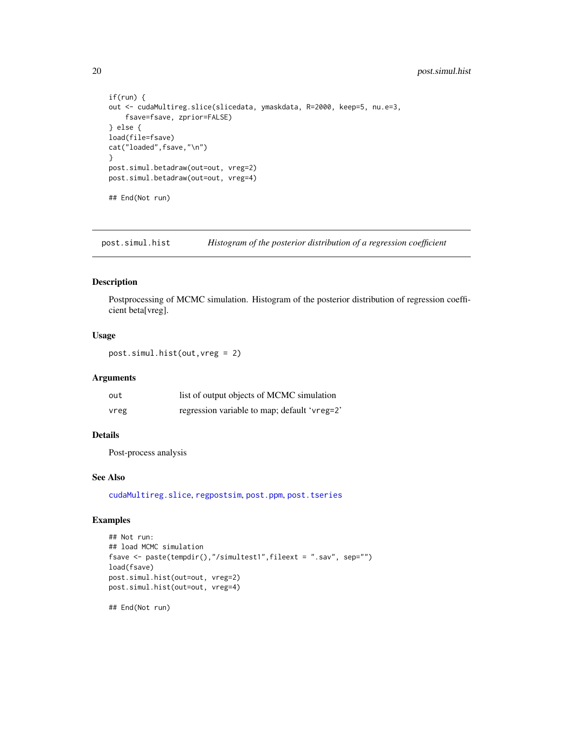```
if(run) {
out <- cudaMultireg.slice(slicedata, ymaskdata, R=2000, keep=5, nu.e=3,
    fsave=fsave, zprior=FALSE)
} else {
load(file=fsave)
cat("loaded",fsave,"\n")
}
post.simul.betadraw(out=out, vreg=2)
post.simul.betadraw(out=out, vreg=4)
## End(Not run)
```
<span id="page-19-1"></span>post.simul.hist *Histogram of the posterior distribution of a regression coefficient*

#### Description

Postprocessing of MCMC simulation. Histogram of the posterior distribution of regression coefficient beta[vreg].

#### Usage

post.simul.hist(out,vreg = 2)

#### Arguments

| out  | list of output objects of MCMC simulation    |
|------|----------------------------------------------|
| vreg | regression variable to map; default 'vreg=2' |

# Details

Post-process analysis

# See Also

[cudaMultireg.slice](#page-3-1), [regpostsim](#page-25-1), [post.ppm](#page-12-1), [post.tseries](#page-20-1)

#### Examples

```
## Not run:
## load MCMC simulation
fsave <- paste(tempdir(),"/simultest1",fileext = ".sav", sep="")
load(fsave)
post.simul.hist(out=out, vreg=2)
post.simul.hist(out=out, vreg=4)
```
## End(Not run)

<span id="page-19-0"></span>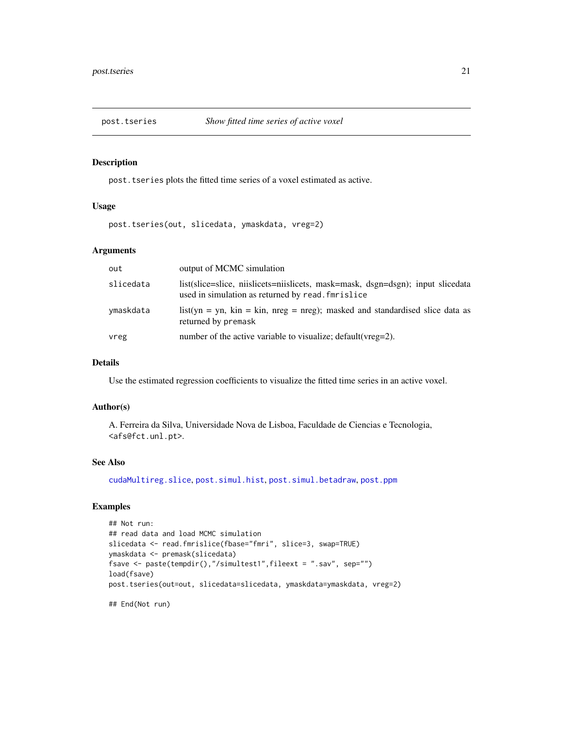<span id="page-20-1"></span><span id="page-20-0"></span>

# **Description**

post.tseries plots the fitted time series of a voxel estimated as active.

#### Usage

post.tseries(out, slicedata, ymaskdata, vreg=2)

# Arguments

| out       | output of MCMC simulation                                                                                                            |
|-----------|--------------------------------------------------------------------------------------------------------------------------------------|
| slicedata | list(slice=slice, niislicets=niislicets, mask=mask, dsgn=dsgn); input slicedata<br>used in simulation as returned by read. fmrislice |
| ymaskdata | list(yn = yn, kin = kin, nreg = nreg); masked and standardised slice data as<br>returned by premask                                  |
| vreg      | number of the active variable to visualize; default (vreg=2).                                                                        |

# Details

Use the estimated regression coefficients to visualize the fitted time series in an active voxel.

#### Author(s)

A. Ferreira da Silva, Universidade Nova de Lisboa, Faculdade de Ciencias e Tecnologia, <afs@fct.unl.pt>.

# See Also

[cudaMultireg.slice](#page-3-1), [post.simul.hist](#page-19-1), [post.simul.betadraw](#page-18-1), [post.ppm](#page-12-1)

# Examples

```
## Not run:
## read data and load MCMC simulation
slicedata <- read.fmrislice(fbase="fmri", slice=3, swap=TRUE)
ymaskdata <- premask(slicedata)
fsave <- paste(tempdir(),"/simultest1",fileext = ".sav", sep="")
load(fsave)
post.tseries(out=out, slicedata=slicedata, ymaskdata=ymaskdata, vreg=2)
```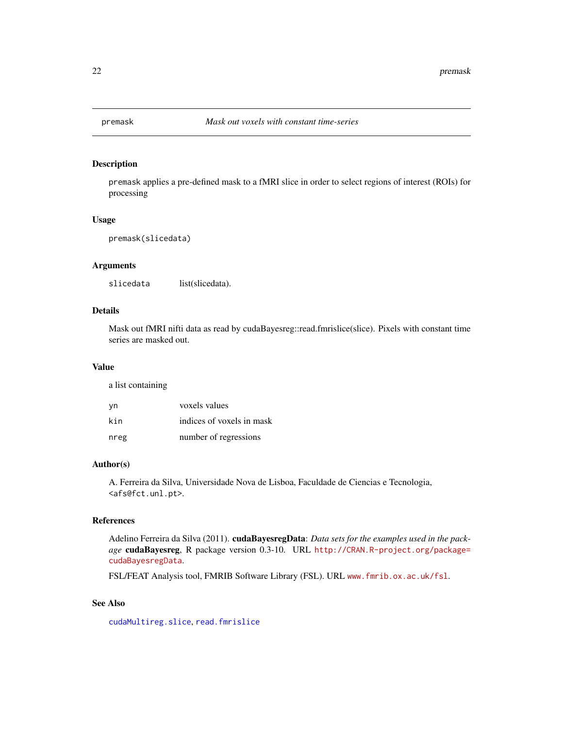<span id="page-21-1"></span><span id="page-21-0"></span>

# Description

premask applies a pre-defined mask to a fMRI slice in order to select regions of interest (ROIs) for processing

#### Usage

premask(slicedata)

#### Arguments

slicedata list(slicedata).

# Details

Mask out fMRI nifti data as read by cudaBayesreg::read.fmrislice(slice). Pixels with constant time series are masked out.

#### Value

a list containing

| vn   | voxels values             |
|------|---------------------------|
| kin  | indices of voxels in mask |
| nreg | number of regressions     |

# Author(s)

A. Ferreira da Silva, Universidade Nova de Lisboa, Faculdade de Ciencias e Tecnologia, <afs@fct.unl.pt>.

#### References

Adelino Ferreira da Silva (2011). cudaBayesregData: *Data sets for the examples used in the package* cudaBayesreg, R package version 0.3-10. URL [http://CRAN.R-project.org/package=](http://CRAN.R-project.org/package=cudaBayesregData) [cudaBayesregData](http://CRAN.R-project.org/package=cudaBayesregData).

FSL/FEAT Analysis tool, FMRIB Software Library (FSL). URL <www.fmrib.ox.ac.uk/fsl>.

# See Also

[cudaMultireg.slice](#page-3-1), [read.fmrislice](#page-22-1)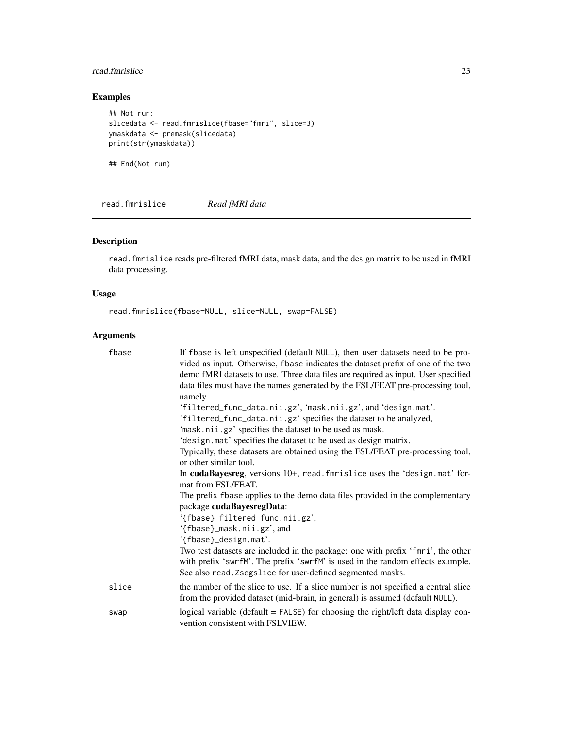# <span id="page-22-0"></span>read.fmrislice 23

# Examples

```
## Not run:
slicedata <- read.fmrislice(fbase="fmri", slice=3)
ymaskdata <- premask(slicedata)
print(str(ymaskdata))
```
## End(Not run)

<span id="page-22-1"></span>read.fmrislice *Read fMRI data*

# Description

read.fmrislice reads pre-filtered fMRI data, mask data, and the design matrix to be used in fMRI data processing.

# Usage

read.fmrislice(fbase=NULL, slice=NULL, swap=FALSE)

| fbase | If fbase is left unspecified (default NULL), then user datasets need to be pro-<br>vided as input. Otherwise, fbase indicates the dataset prefix of one of the two<br>demo fMRI datasets to use. Three data files are required as input. User specified<br>data files must have the names generated by the FSL/FEAT pre-processing tool,<br>namely<br>'filtered_func_data.nii.gz', 'mask.nii.gz', and 'design.mat'.<br>'filtered_func_data.nii.gz' specifies the dataset to be analyzed,<br>'mask.nii.gz' specifies the dataset to be used as mask.<br>'design.mat' specifies the dataset to be used as design matrix.<br>Typically, these datasets are obtained using the FSL/FEAT pre-processing tool,<br>or other similar tool.<br>In cudaBayesreg, versions 10+, read. fmrislice uses the 'design.mat' for- |
|-------|-----------------------------------------------------------------------------------------------------------------------------------------------------------------------------------------------------------------------------------------------------------------------------------------------------------------------------------------------------------------------------------------------------------------------------------------------------------------------------------------------------------------------------------------------------------------------------------------------------------------------------------------------------------------------------------------------------------------------------------------------------------------------------------------------------------------|
|       | mat from FSL/FEAT.                                                                                                                                                                                                                                                                                                                                                                                                                                                                                                                                                                                                                                                                                                                                                                                              |
|       | The prefix fbase applies to the demo data files provided in the complementary                                                                                                                                                                                                                                                                                                                                                                                                                                                                                                                                                                                                                                                                                                                                   |
|       | package cudaBayesregData:                                                                                                                                                                                                                                                                                                                                                                                                                                                                                                                                                                                                                                                                                                                                                                                       |
|       | '{fbase}_filtered_func.nii.gz',                                                                                                                                                                                                                                                                                                                                                                                                                                                                                                                                                                                                                                                                                                                                                                                 |
|       | '{fbase}_mask.nii.gz', and                                                                                                                                                                                                                                                                                                                                                                                                                                                                                                                                                                                                                                                                                                                                                                                      |
|       | '{fbase}_design.mat'.                                                                                                                                                                                                                                                                                                                                                                                                                                                                                                                                                                                                                                                                                                                                                                                           |
|       | Two test datasets are included in the package: one with prefix 'fmri', the other<br>with prefix 'swrfM'. The prefix 'swrfM' is used in the random effects example.<br>See also read. Zsegslice for user-defined segmented masks.                                                                                                                                                                                                                                                                                                                                                                                                                                                                                                                                                                                |
| slice | the number of the slice to use. If a slice number is not specified a central slice<br>from the provided dataset (mid-brain, in general) is assumed (default NULL).                                                                                                                                                                                                                                                                                                                                                                                                                                                                                                                                                                                                                                              |
| swap  | logical variable (default $=$ FALSE) for choosing the right/left data display con-<br>vention consistent with FSLVIEW.                                                                                                                                                                                                                                                                                                                                                                                                                                                                                                                                                                                                                                                                                          |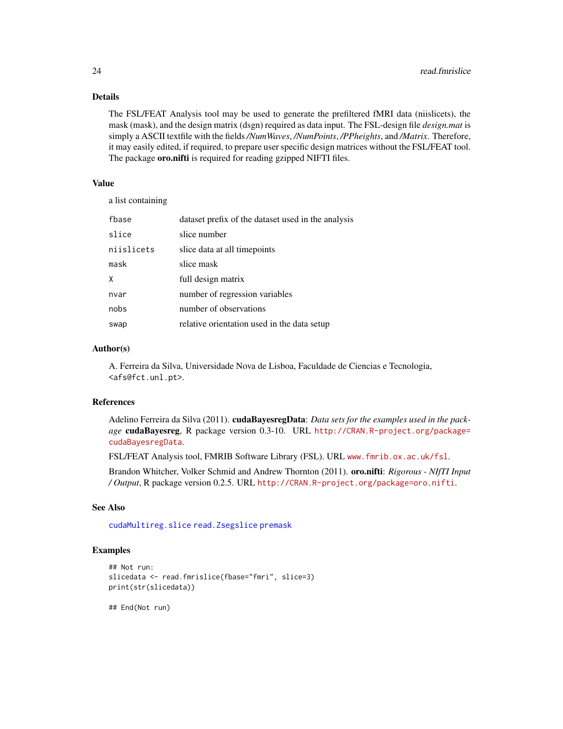# Details

The FSL/FEAT Analysis tool may be used to generate the prefiltered fMRI data (niislicets), the mask (mask), and the design matrix (dsgn) required as data input. The FSL-design file *design.mat* is simply a ASCII textfile with the fields*/NumWaves*, */NumPoints*, */PPheights*, and */Matrix*. Therefore, it may easily edited, if required, to prepare user specific design matrices without the FSL/FEAT tool. The package **oro.nifti** is required for reading gzipped NIFTI files.

# Value

a list containing

| fbase      | dataset prefix of the dataset used in the analysis |
|------------|----------------------------------------------------|
| slice      | slice number                                       |
| niislicets | slice data at all timepoints                       |
| mask       | slice mask                                         |
| χ          | full design matrix                                 |
| nvar       | number of regression variables                     |
| nobs       | number of observations                             |
| swap       | relative orientation used in the data setup        |

#### Author(s)

A. Ferreira da Silva, Universidade Nova de Lisboa, Faculdade de Ciencias e Tecnologia, <afs@fct.unl.pt>.

#### References

Adelino Ferreira da Silva (2011). cudaBayesregData: *Data sets for the examples used in the package* cudaBayesreg, R package version 0.3-10. URL [http://CRAN.R-project.org/package=](http://CRAN.R-project.org/package=cudaBayesregData) [cudaBayesregData](http://CRAN.R-project.org/package=cudaBayesregData).

FSL/FEAT Analysis tool, FMRIB Software Library (FSL). URL <www.fmrib.ox.ac.uk/fsl>.

Brandon Whitcher, Volker Schmid and Andrew Thornton (2011). oro.nifti: *Rigorous - NIfTI Input / Output*, R package version 0.2.5. URL <http://CRAN.R-project.org/package=oro.nifti>.

# See Also

[cudaMultireg.slice](#page-3-1) [read.Zsegslice](#page-24-1) [premask](#page-21-1)

# Examples

```
## Not run:
slicedata <- read.fmrislice(fbase="fmri", slice=3)
print(str(slicedata))
```
## End(Not run)

<span id="page-23-0"></span>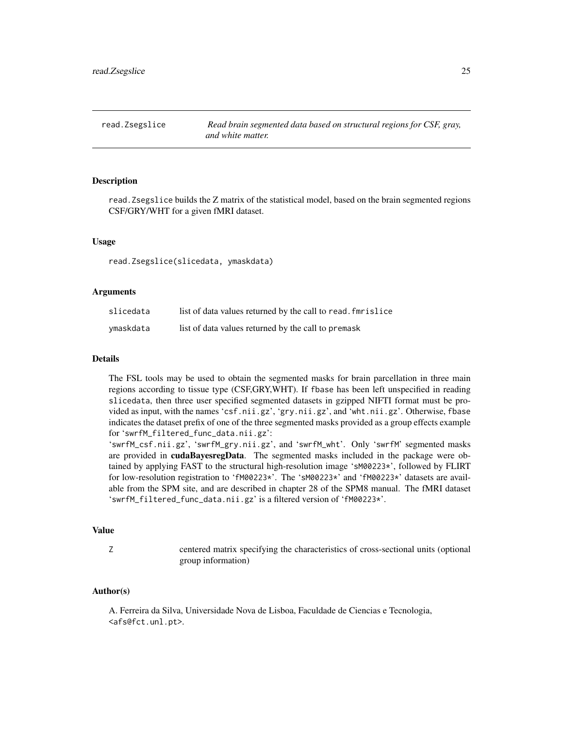<span id="page-24-1"></span><span id="page-24-0"></span>

#### **Description**

read.Zsegslice builds the Z matrix of the statistical model, based on the brain segmented regions CSF/GRY/WHT for a given fMRI dataset.

## Usage

read.Zsegslice(slicedata, ymaskdata)

#### Arguments

| slicedata | list of data values returned by the call to read. fmrislice |
|-----------|-------------------------------------------------------------|
| ymaskdata | list of data values returned by the call to premask         |

#### Details

The FSL tools may be used to obtain the segmented masks for brain parcellation in three main regions according to tissue type (CSF,GRY,WHT). If fbase has been left unspecified in reading slicedata, then three user specified segmented datasets in gzipped NIFTI format must be provided as input, with the names 'csf.nii.gz', 'gry.nii.gz', and 'wht.nii.gz'. Otherwise, fbase indicates the dataset prefix of one of the three segmented masks provided as a group effects example for 'swrfM\_filtered\_func\_data.nii.gz':

'swrfM\_csf.nii.gz', 'swrfM\_gry.nii.gz', and 'swrfM\_wht'. Only 'swrfM' segmented masks are provided in cudaBayesregData. The segmented masks included in the package were obtained by applying FAST to the structural high-resolution image 'sM00223\*', followed by FLIRT for low-resolution registration to 'fM00223\*'. The 'sM00223\*' and 'fM00223\*' datasets are available from the SPM site, and are described in chapter 28 of the SPM8 manual. The fMRI dataset 'swrfM\_filtered\_func\_data.nii.gz' is a filtered version of 'fM00223\*'.

#### Value

Z centered matrix specifying the characteristics of cross-sectional units (optional group information)

# Author(s)

A. Ferreira da Silva, Universidade Nova de Lisboa, Faculdade de Ciencias e Tecnologia, <afs@fct.unl.pt>.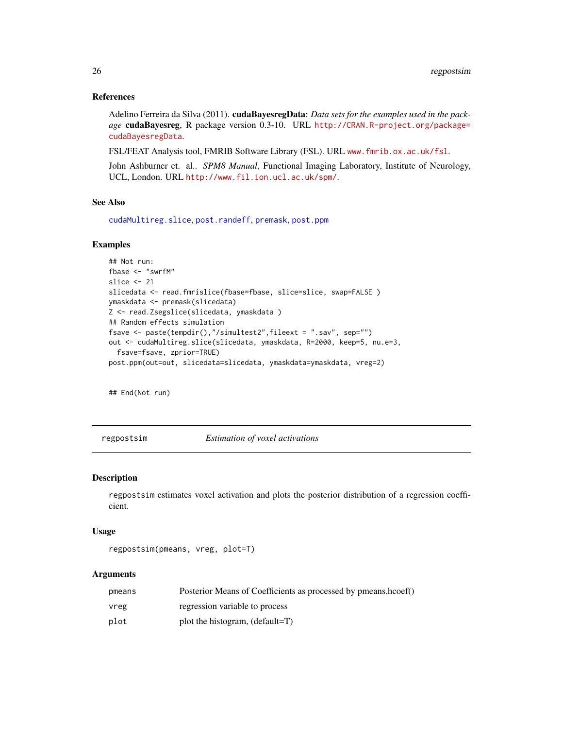#### References

Adelino Ferreira da Silva (2011). cudaBayesregData: *Data sets for the examples used in the package* cudaBayesreg, R package version 0.3-10. URL [http://CRAN.R-project.org/package=](http://CRAN.R-project.org/package=cudaBayesregData) [cudaBayesregData](http://CRAN.R-project.org/package=cudaBayesregData).

FSL/FEAT Analysis tool, FMRIB Software Library (FSL). URL <www.fmrib.ox.ac.uk/fsl>.

John Ashburner et. al.. *SPM8 Manual*, Functional Imaging Laboratory, Institute of Neurology, UCL, London. URL <http://www.fil.ion.ucl.ac.uk/spm/>.

# See Also

[cudaMultireg.slice](#page-3-1), [post.randeff](#page-14-1), [premask](#page-21-1), [post.ppm](#page-12-1)

#### Examples

```
## Not run:
fbase <- "swrfM"
slice <- 21
slicedata <- read.fmrislice(fbase=fbase, slice=slice, swap=FALSE)
ymaskdata <- premask(slicedata)
Z <- read.Zsegslice(slicedata, ymaskdata )
## Random effects simulation
fsave <- paste(tempdir(),"/simultest2",fileext = ".sav", sep="")
out <- cudaMultireg.slice(slicedata, ymaskdata, R=2000, keep=5, nu.e=3,
  fsave=fsave, zprior=TRUE)
post.ppm(out=out, slicedata=slicedata, ymaskdata=ymaskdata, vreg=2)
```
## End(Not run)

<span id="page-25-1"></span>regpostsim *Estimation of voxel activations*

#### Description

regpostsim estimates voxel activation and plots the posterior distribution of a regression coefficient.

#### Usage

```
regpostsim(pmeans, vreg, plot=T)
```

| pmeans | Posterior Means of Coefficients as processed by pmeans.hcoef() |
|--------|----------------------------------------------------------------|
| vreg   | regression variable to process                                 |
| plot   | plot the histogram, $(\text{default}=T)$                       |

<span id="page-25-0"></span>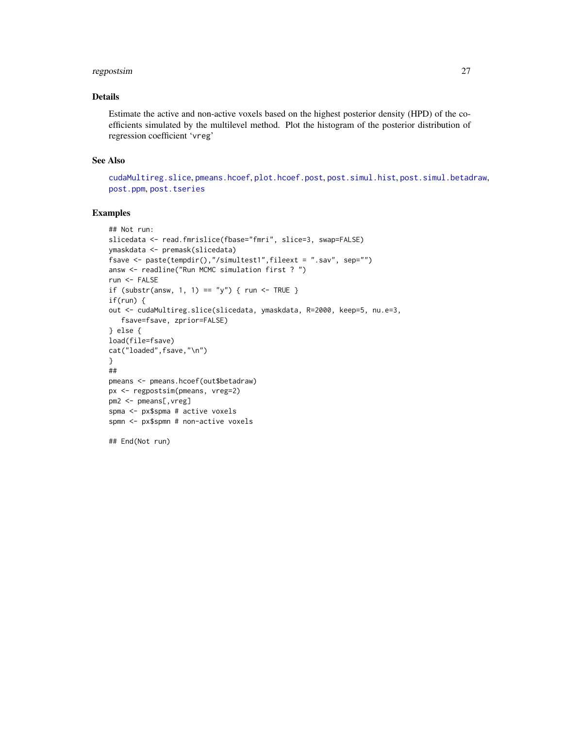# <span id="page-26-0"></span>regpostsim 27

# Details

Estimate the active and non-active voxels based on the highest posterior density (HPD) of the coefficients simulated by the multilevel method. Plot the histogram of the posterior distribution of regression coefficient 'vreg'

#### See Also

[cudaMultireg.slice](#page-3-1), [pmeans.hcoef](#page-10-1), [plot.hcoef.post](#page-9-1), [post.simul.hist](#page-19-1), [post.simul.betadraw](#page-18-1), [post.ppm](#page-12-1), [post.tseries](#page-20-1)

# Examples

```
## Not run:
slicedata <- read.fmrislice(fbase="fmri", slice=3, swap=FALSE)
ymaskdata <- premask(slicedata)
fsave <- paste(tempdir(),"/simultest1",fileext = ".sav", sep="")
answ <- readline("Run MCMC simulation first ? ")
run <- FALSE
if (substr(answ, 1, 1) == "y") { run <- TRUE }
if(run) {
out <- cudaMultireg.slice(slicedata, ymaskdata, R=2000, keep=5, nu.e=3,
  fsave=fsave, zprior=FALSE)
} else {
load(file=fsave)
cat("loaded",fsave,"\n")
}
##
pmeans <- pmeans.hcoef(out$betadraw)
px <- regpostsim(pmeans, vreg=2)
pm2 <- pmeans[,vreg]
spma <- px$spma # active voxels
spmn <- px$spmn # non-active voxels
## End(Not run)
```